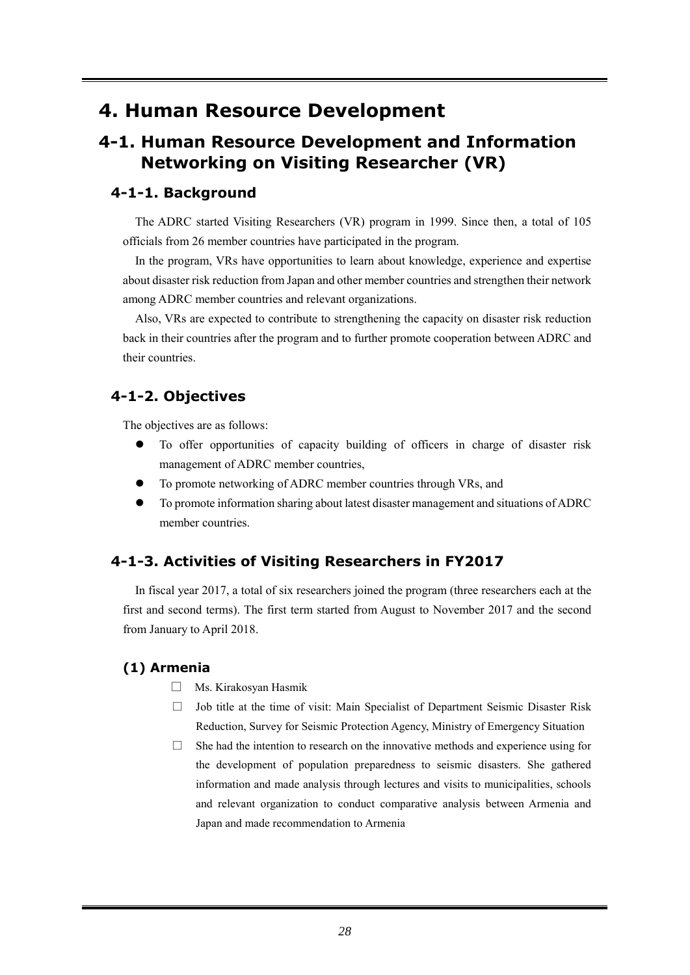# **4. Human Resource Development**

## **4-1. Human Resource Development and Information Networking on Visiting Researcher (VR)**

#### **4-1-1. Background**

The ADRC started Visiting Researchers (VR) program in 1999. Since then, a total of 105 officials from 26 member countries have participated in the program.

In the program, VRs have opportunities to learn about knowledge, experience and expertise about disaster risk reduction from Japan and other member countries and strengthen their network among ADRC member countries and relevant organizations.

Also, VRs are expected to contribute to strengthening the capacity on disaster risk reduction back in their countries after the program and to further promote cooperation between ADRC and their countries.

#### **4-1-2. Objectives**

The objectives are as follows:

- To offer opportunities of capacity building of officers in charge of disaster risk management of ADRC member countries,
- To promote networking of ADRC member countries through VRs, and
- To promote information sharing about latest disaster management and situations of ADRC member countries.

## **4-1-3. Activities of Visiting Researchers in FY2017**

In fiscal year 2017, a total of six researchers joined the program (three researchers each at the first and second terms). The first term started from August to November 2017 and the second from January to April 2018.

#### **(1) Armenia**

- □ Ms. Kirakosyan Hasmik
- $\Box$  Job title at the time of visit: Main Specialist of Department Seismic Disaster Risk Reduction, Survey for Seismic Protection Agency, Ministry of Emergency Situation
- $\Box$  She had the intention to research on the innovative methods and experience using for the development of population preparedness to seismic disasters. She gathered information and made analysis through lectures and visits to municipalities, schools and relevant organization to conduct comparative analysis between Armenia and Japan and made recommendation to Armenia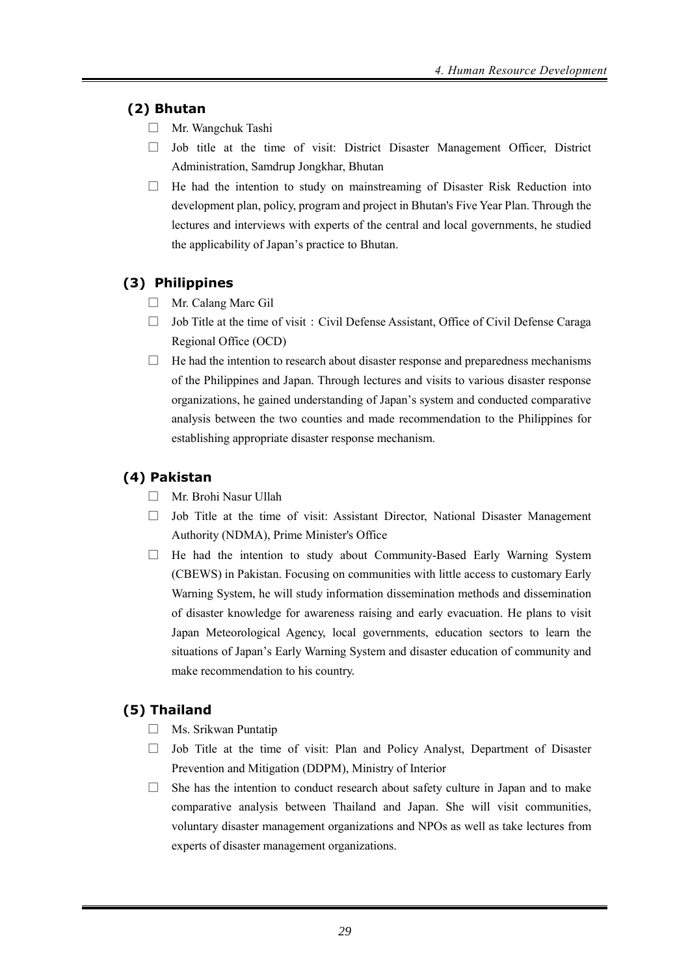#### **(2) Bhutan**

- □ Mr. Wangchuk Tashi
- $\Box$  Job title at the time of visit: District Disaster Management Officer, District Administration, Samdrup Jongkhar, Bhutan
- $\Box$  He had the intention to study on mainstreaming of Disaster Risk Reduction into development plan, policy, program and project in Bhutan's Five Year Plan. Through the lectures and interviews with experts of the central and local governments, he studied the applicability of Japan's practice to Bhutan.

## **(3) Philippines**

- □ Mr. Calang Marc Gil
- $\Box$  Job Title at the time of visit: Civil Defense Assistant, Office of Civil Defense Caraga Regional Office (OCD)
- $\Box$  He had the intention to research about disaster response and preparedness mechanisms of the Philippines and Japan. Through lectures and visits to various disaster response organizations, he gained understanding of Japan's system and conducted comparative analysis between the two counties and made recommendation to the Philippines for establishing appropriate disaster response mechanism.

## **(4) Pakistan**

- □ Mr. Brohi Nasur Ullah
- $\Box$  Job Title at the time of visit: Assistant Director, National Disaster Management Authority (NDMA), Prime Minister's Office
- $\Box$  He had the intention to study about Community-Based Early Warning System (CBEWS) in Pakistan. Focusing on communities with little access to customary Early Warning System, he will study information dissemination methods and dissemination of disaster knowledge for awareness raising and early evacuation. He plans to visit Japan Meteorological Agency, local governments, education sectors to learn the situations of Japan's Early Warning System and disaster education of community and make recommendation to his country.

## **(5) Thailand**

- □ Ms. Srikwan Puntatip
- $\Box$  Job Title at the time of visit: Plan and Policy Analyst, Department of Disaster Prevention and Mitigation (DDPM), Ministry of Interior
- $\Box$  She has the intention to conduct research about safety culture in Japan and to make comparative analysis between Thailand and Japan. She will visit communities, voluntary disaster management organizations and NPOs as well as take lectures from experts of disaster management organizations.